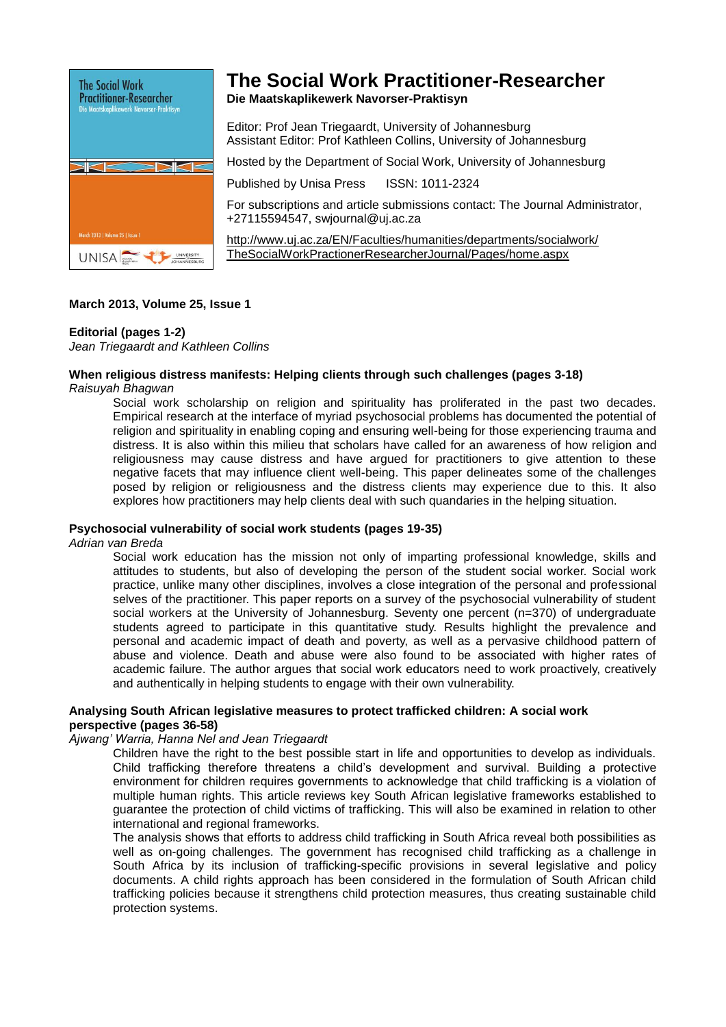

# **The Social Work Practitioner-Researcher**

**Die Maatskaplikewerk Navorser-Praktisyn**

Editor: Prof Jean Triegaardt, University of Johannesburg Assistant Editor: Prof Kathleen Collins, University of Johannesburg

Hosted by the Department of Social Work, University of Johannesburg

Published by Unisa Press ISSN: 1011-2324

For subscriptions and article submissions contact: The Journal Administrator, +27115594547, [swjournal@uj.ac.za](mailto:swjournal@uj.ac.za) 

<http://www.uj.ac.za/EN/Faculties/humanities/departments/socialwork/> TheSocialWorkPractionerResearcherJournal/Pages/home.aspx

# **March 2013, Volume 25, Issue 1**

# **Editorial (pages 1-2)**

*Jean Triegaardt and Kathleen Collins* 

# **When religious distress manifests: Helping clients through such challenges (pages 3-18)**

# *Raisuyah Bhagwan*

Social work scholarship on religion and spirituality has proliferated in the past two decades. Empirical research at the interface of myriad psychosocial problems has documented the potential of religion and spirituality in enabling coping and ensuring well-being for those experiencing trauma and distress. It is also within this milieu that scholars have called for an awareness of how religion and religiousness may cause distress and have argued for practitioners to give attention to these negative facets that may influence client well-being. This paper delineates some of the challenges posed by religion or religiousness and the distress clients may experience due to this. It also explores how practitioners may help clients deal with such quandaries in the helping situation.

### **Psychosocial vulnerability of social work students (pages 19-35)**

*Adrian van Breda*

Social work education has the mission not only of imparting professional knowledge, skills and attitudes to students, but also of developing the person of the student social worker. Social work practice, unlike many other disciplines, involves a close integration of the personal and professional selves of the practitioner. This paper reports on a survey of the psychosocial vulnerability of student social workers at the University of Johannesburg. Seventy one percent (n=370) of undergraduate students agreed to participate in this quantitative study. Results highlight the prevalence and personal and academic impact of death and poverty, as well as a pervasive childhood pattern of abuse and violence. Death and abuse were also found to be associated with higher rates of academic failure. The author argues that social work educators need to work proactively, creatively and authentically in helping students to engage with their own vulnerability.

#### **Analysing South African legislative measures to protect trafficked children: A social work perspective (pages 36-58)**

#### *Ajwang' Warria, Hanna Nel and Jean Triegaardt*

Children have the right to the best possible start in life and opportunities to develop as individuals. Child trafficking therefore threatens a child's development and survival. Building a protective environment for children requires governments to acknowledge that child trafficking is a violation of multiple human rights. This article reviews key South African legislative frameworks established to guarantee the protection of child victims of trafficking. This will also be examined in relation to other international and regional frameworks.

The analysis shows that efforts to address child trafficking in South Africa reveal both possibilities as well as on-going challenges. The government has recognised child trafficking as a challenge in South Africa by its inclusion of trafficking-specific provisions in several legislative and policy documents. A child rights approach has been considered in the formulation of South African child trafficking policies because it strengthens child protection measures, thus creating sustainable child protection systems.